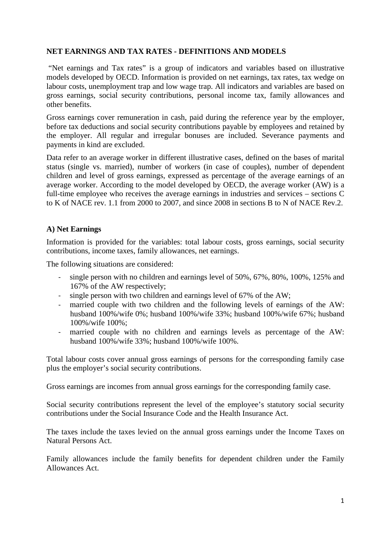### **NET EARNINGS AND TAX RATES - DEFINITIONS AND MODELS**

"Net earnings and Tax rates" is a group of indicators and variables based on illustrative models developed by OECD. Information is provided on net earnings, tax rates, tax wedge on labour costs, unemployment trap and low wage trap. All indicators and variables are based on gross earnings, social security contributions, personal income tax, family allowances and other benefits.

Gross earnings cover remuneration in cash, paid during the reference year by the employer, before tax deductions and social security contributions payable by employees and retained by the employer. All regular and irregular bonuses are included. Severance payments and payments in kind are excluded.

Data refer to an average worker in different illustrative cases, defined on the bases of marital status (single vs. married), number of workers (in case of couples), number of dependent children and level of gross earnings, expressed as percentage of the average earnings of an average worker. According to the model developed by OECD, the average worker (AW) is a full-time employee who receives the average earnings in industries and services – sections C to K of NACE rev. 1.1 from 2000 to 2007, and since 2008 in sections B to N of NACE Rev.2.

#### **A) Net Earnings**

Information is provided for the variables: total labour costs, gross earnings, social security contributions, income taxes, family allowances, net earnings.

The following situations are considered:

- single person with no children and earnings level of 50%, 67%, 80%, 100%, 125% and 167% of the AW respectively;
- single person with two children and earnings level of 67% of the AW;
- married couple with two children and the following levels of earnings of the AW: husband 100%/wife 0%; husband 100%/wife 33%; husband 100%/wife 67%; husband 100%/wife 100%;
- married couple with no children and earnings levels as percentage of the AW: husband 100%/wife 33%; husband 100%/wife 100%.

Total labour costs cover annual gross earnings of persons for the corresponding family case plus the employer's social security contributions.

Gross earnings are incomes from annual gross earnings for the corresponding family case.

Social security contributions represent the level of the employee's statutory social security contributions under the Social Insurance Code and the Health Insurance Act.

The taxes include the taxes levied on the annual gross earnings under the Income Taxes on Natural Persons Act.

Family allowances include the family benefits for dependent children under the Family Allowances Act.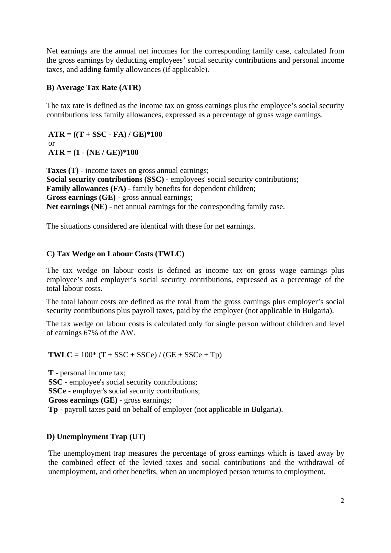Net earnings are the annual net incomes for the corresponding family case, calculated from the gross earnings by deducting employees' social security contributions and personal income taxes, and adding family allowances (if applicable).

#### **B) Average Tax Rate (ATR)**

The tax rate is defined as the income tax on gross earnings plus the employee's social security contributions less family allowances, expressed as a percentage of gross wage earnings.

 $ATR = ((T + SSC - FA) / GE)*100$ or **ATR = (1 - (NE / GE))\*100**

**Taxes (T)** - income taxes on gross annual earnings; **Social security contributions (SSC) -** employees' social security contributions; **Family allowances (FA)** - family benefits for dependent children; **Gross earnings (GE)** - gross annual earnings; **Net earnings (NE)** - net annual earnings for the corresponding family case.

The situations considered are identical with these for net earnings.

## **C) Tax Wedge on Labour Costs (TWLC)**

The tax wedge on labour costs is defined as income tax on gross wage earnings plus employee's and employer's social security contributions, expressed as a percentage of the total labour costs.

The total labour costs are defined as the total from the gross earnings plus employer's social security contributions plus payroll taxes, paid by the employer (not applicable in Bulgaria).

The tax wedge on labour costs is calculated only for single person without children and level of earnings 67% of the AW.

**TWLC** =  $100^*$  (T + SSC + SSCe) / (GE + SSCe + Tp)

**T** - personal income tax; **SSC** - employee's social security contributions; **SSCe** - employer's social security contributions; **Gross earnings (GE)** - gross earnings; **Tp** - payroll taxes paid on behalf of employer (not applicable in Bulgaria).

### **D) Unemployment Trap (UT)**

The unemployment trap measures the percentage of gross earnings which is taxed away by the combined effect of the levied taxes and social contributions and the withdrawal of unemployment, and other benefits, when an unemployed person returns to employment.